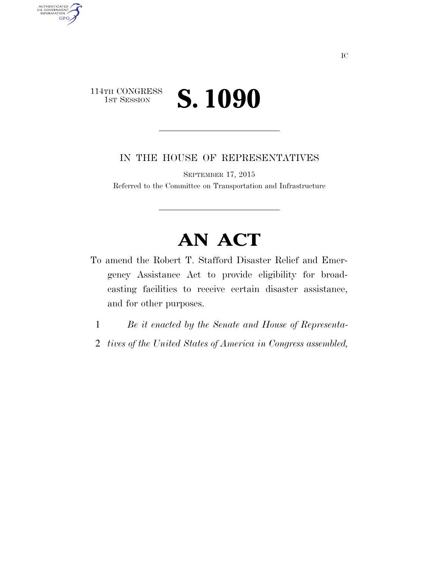## 114TH CONGRESS<br>1st Session 1ST SESSION **S. 1090**

AUTHENTICATED<br>U.S. GOVERNMENT<br>INFORMATION GPO

IN THE HOUSE OF REPRESENTATIVES

SEPTEMBER 17, 2015

Referred to the Committee on Transportation and Infrastructure

## **AN ACT**

- To amend the Robert T. Stafford Disaster Relief and Emergency Assistance Act to provide eligibility for broadcasting facilities to receive certain disaster assistance, and for other purposes.
	- 1 *Be it enacted by the Senate and House of Representa-*
	- 2 *tives of the United States of America in Congress assembled,*